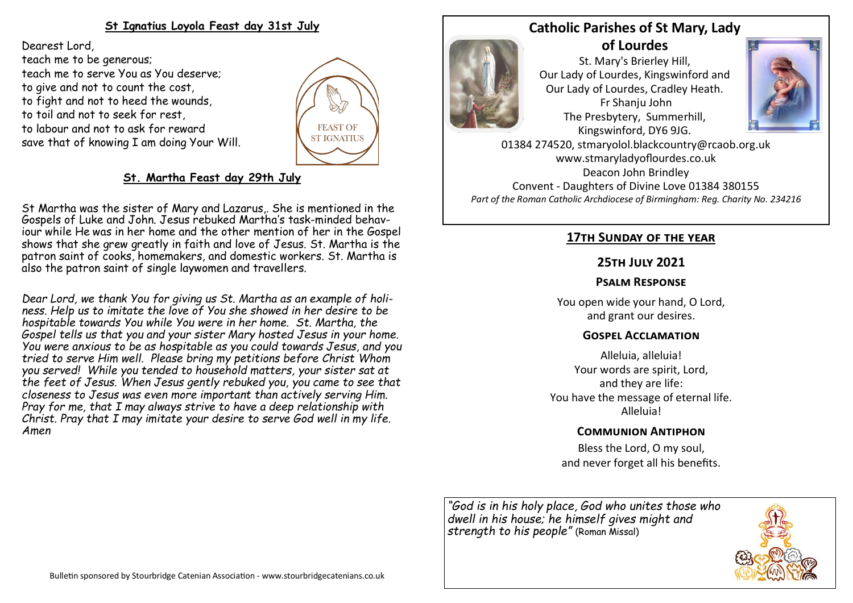## **St Ignatius Loyola Feast day 31st July**

Dearest Lord, teach me to be generous; teach me to serve You as You deserve; to give and not to count the cost, to fight and not to heed the wounds, to toil and not to seek for rest, to labour and not to ask for reward save that of knowing I am doing Your Will.



## **St. Martha Feast day 29th July**

St Martha was the sister of Mary and Lazarus,. She is mentioned in the Gospels of Luke and John. Jesus rebuked Martha's task-minded behaviour while He was in her home and the other mention of her in the Gospel shows that she grew greatly in faith and love of Jesus. St. Martha is the patron saint of cooks, homemakers, and domestic workers. St. Martha is also the patron saint of single laywomen and travellers.

*Dear Lord, we thank You for giving us St. Martha as an example of holiness. Help us to imitate the love of You she showed in her desire to be hospitable towards You while You were in her home. St. Martha, the Gospel tells us that you and your sister Mary hosted Jesus in your home. You were anxious to be as hospitable as you could towards Jesus, and you tried to serve Him well. Please bring my petitions before Christ Whom you served! While you tended to household matters, your sister sat at the feet of Jesus. When Jesus gently rebuked you, you came to see that closeness to Jesus was even more important than actively serving Him. Pray for me, that I may always strive to have a deep relationship with Christ. Pray that I may imitate your desire to serve God well in my life. Amen*

## **Catholic Parishes of St Mary, Lady of Lourdes**



St. Mary's Brierley Hill, Our Lady of Lourdes, Kingswinford and Our Lady of Lourdes, Cradley Heath. Fr Shanju John The Presbytery, Summerhill, Kingswinford, DY6 9JG.



01384 274520, stmaryolol.blackcountry@rcaob.org.uk www.stmaryladyoflourdes.co.uk Deacon John Brindley Convent - Daughters of Divine Love 01384 380155 *Part of the Roman Catholic Archdiocese of Birmingham: Reg. Charity No. 234216*

#### **17th Sunday of the year**

### **25th July 2021**

### **Psalm Response**

You open wide your hand, O Lord, and grant our desires.

#### **Gospel Acclamation**

Alleluia, alleluia! Your words are spirit, Lord, and they are life: You have the message of eternal life. Alleluia!

## **Communion Antiphon**

Bless the Lord, O my soul, and never forget all his benefits.

*"God is in his holy place, God who unites those who dwell in his house; he himself gives might and strength to his people"* (Roman Missal)